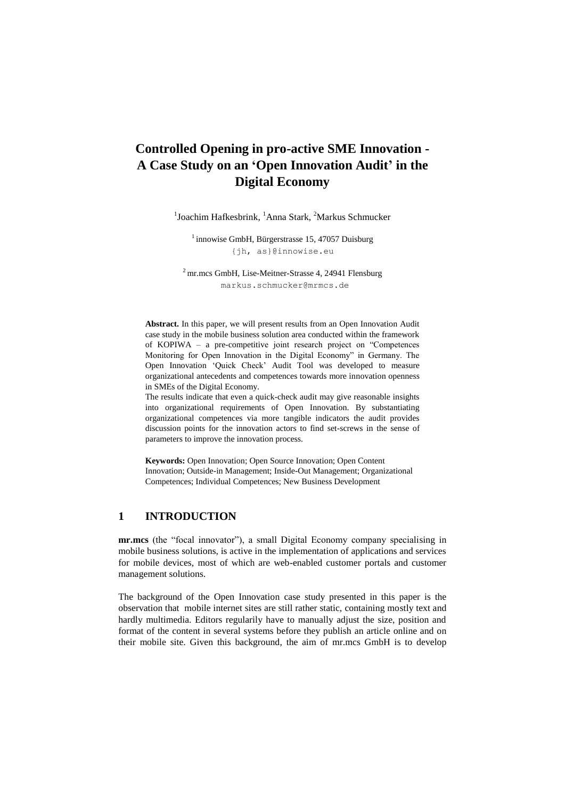<sup>1</sup>Joachim Hafkesbrink, <sup>1</sup>Anna Stark, <sup>2</sup>Markus Schmucker

 $1$  innowise GmbH, Bürgerstrasse 15, 47057 Duisburg {jh, as}@innowise.eu

<sup>2</sup> mr.mcs GmbH, Lise-Meitner-Strasse 4, 24941 Flensburg markus.schmucker@mrmcs.de

**Abstract.** In this paper, we will present results from an Open Innovation Audit case study in the mobile business solution area conducted within the framework of KOPIWA – a pre-competitive joint research project on "Competences Monitoring for Open Innovation in the Digital Economy" in Germany. The Open Innovation "Quick Check" Audit Tool was developed to measure organizational antecedents and competences towards more innovation openness in SMEs of the Digital Economy.

The results indicate that even a quick-check audit may give reasonable insights into organizational requirements of Open Innovation. By substantiating organizational competences via more tangible indicators the audit provides discussion points for the innovation actors to find set-screws in the sense of parameters to improve the innovation process.

**Keywords:** Open Innovation; Open Source Innovation; Open Content Innovation; Outside-in Management; Inside-Out Management; Organizational Competences; Individual Competences; New Business Development

## **1 INTRODUCTION**

**mr.mcs** (the "focal innovator"), a small Digital Economy company specialising in mobile business solutions, is active in the implementation of applications and services for mobile devices, most of which are web-enabled customer portals and customer management solutions.

The background of the Open Innovation case study presented in this paper is the observation that mobile internet sites are still rather static, containing mostly text and hardly multimedia. Editors regularily have to manually adjust the size, position and format of the content in several systems before they publish an article online and on their mobile site. Given this background, the aim of mr.mcs GmbH is to develop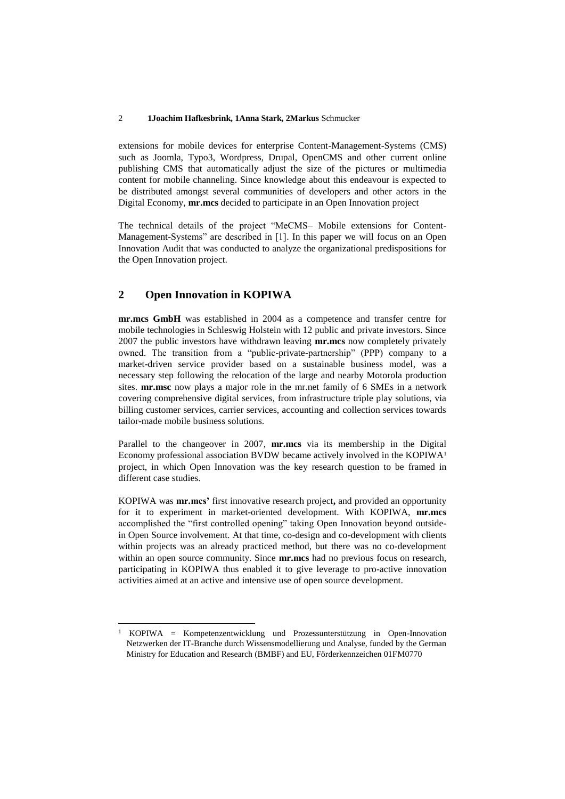extensions for mobile devices for enterprise Content-Management-Systems (CMS) such as Joomla, Typo3, Wordpress, Drupal, OpenCMS and other current online publishing CMS that automatically adjust the size of the pictures or multimedia content for mobile channeling. Since knowledge about this endeavour is expected to be distributed amongst several communities of developers and other actors in the Digital Economy, **mr.mcs** decided to participate in an Open Innovation project

The technical details of the project "MeCMS– Mobile extensions for Content-Management-Systems" are described in [1]. In this paper we will focus on an Open Innovation Audit that was conducted to analyze the organizational predispositions for the Open Innovation project.

### **2 Open Innovation in KOPIWA**

 $\overline{a}$ 

**mr.mcs GmbH** was established in 2004 as a competence and transfer centre for mobile technologies in Schleswig Holstein with 12 public and private investors. Since 2007 the public investors have withdrawn leaving **mr.mcs** now completely privately owned. The transition from a "public-private-partnership" (PPP) company to a market-driven service provider based on a sustainable business model, was a necessary step following the relocation of the large and nearby Motorola production sites. **mr.msc** now plays a major role in the mr.net family of 6 SMEs in a network covering comprehensive digital services, from infrastructure triple play solutions, via billing customer services, carrier services, accounting and collection services towards tailor-made mobile business solutions.

Parallel to the changeover in 2007, **mr.mcs** via its membership in the Digital Economy professional association BVDW became actively involved in the KOPIWA<sup>1</sup> project, in which Open Innovation was the key research question to be framed in different case studies.

KOPIWA was **mr.mcs'** first innovative research project**,** and provided an opportunity for it to experiment in market-oriented development. With KOPIWA, **mr.mcs** accomplished the "first controlled opening" taking Open Innovation beyond outsidein Open Source involvement. At that time, co-design and co-development with clients within projects was an already practiced method, but there was no co-development within an open source community. Since **mr.mcs** had no previous focus on research, participating in KOPIWA thus enabled it to give leverage to pro-active innovation activities aimed at an active and intensive use of open source development.

<sup>1</sup> KOPIWA = Kompetenzentwicklung und Prozessunterstützung in Open-Innovation Netzwerken der IT-Branche durch Wissensmodellierung und Analyse, funded by the German Ministry for Education and Research (BMBF) and EU, Förderkennzeichen 01FM0770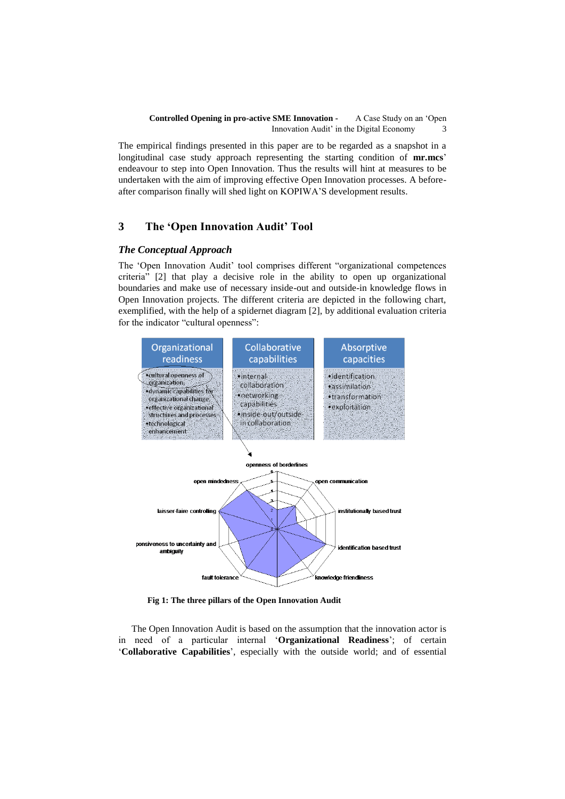The empirical findings presented in this paper are to be regarded as a snapshot in a longitudinal case study approach representing the starting condition of **mr.mcs**" endeavour to step into Open Innovation. Thus the results will hint at measures to be undertaken with the aim of improving effective Open Innovation processes. A beforeafter comparison finally will shed light on KOPIWA"S development results.

## **3 The 'Open Innovation Audit' Tool**

### *The Conceptual Approach*

The "Open Innovation Audit" tool comprises different "organizational competences criteria" [2] that play a decisive role in the ability to open up organizational boundaries and make use of necessary inside-out and outside-in knowledge flows in Open Innovation projects. The different criteria are depicted in the following chart, exemplified, with the help of a spidernet diagram [2], by additional evaluation criteria for the indicator "cultural openness":



**Fig 1: The three pillars of the Open Innovation Audit**

The Open Innovation Audit is based on the assumption that the innovation actor is in need of a particular internal "**Organizational Readiness**"; of certain "**Collaborative Capabilities**", especially with the outside world; and of essential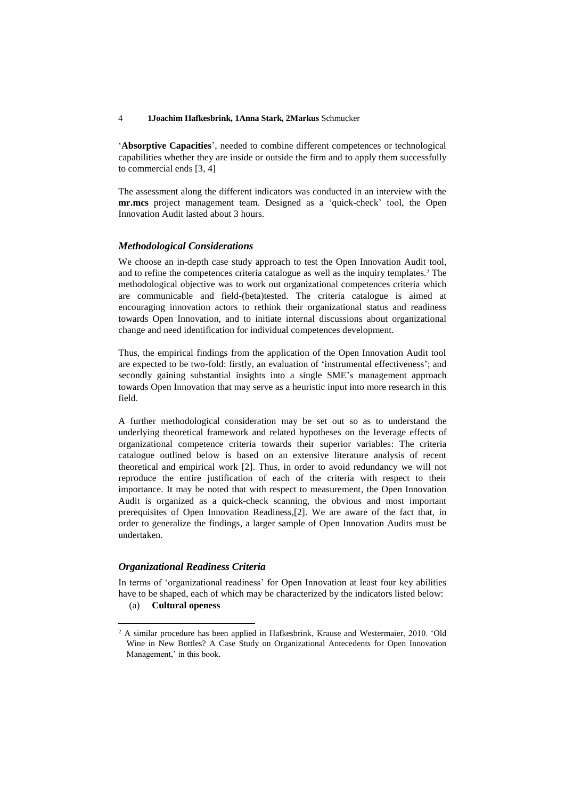"**Absorptive Capacities**", needed to combine different competences or technological capabilities whether they are inside or outside the firm and to apply them successfully to commercial ends [3, 4]

The assessment along the different indicators was conducted in an interview with the **mr.mcs** project management team. Designed as a "quick-check" tool, the Open Innovation Audit lasted about 3 hours.

#### *Methodological Considerations*

We choose an in-depth case study approach to test the Open Innovation Audit tool, and to refine the competences criteria catalogue as well as the inquiry templates. <sup>2</sup> The methodological objective was to work out organizational competences criteria which are communicable and field-(beta)tested. The criteria catalogue is aimed at encouraging innovation actors to rethink their organizational status and readiness towards Open Innovation, and to initiate internal discussions about organizational change and need identification for individual competences development.

Thus, the empirical findings from the application of the Open Innovation Audit tool are expected to be two-fold: firstly, an evaluation of "instrumental effectiveness"; and secondly gaining substantial insights into a single SME"s management approach towards Open Innovation that may serve as a heuristic input into more research in this field.

A further methodological consideration may be set out so as to understand the underlying theoretical framework and related hypotheses on the leverage effects of organizational competence criteria towards their superior variables: The criteria catalogue outlined below is based on an extensive literature analysis of recent theoretical and empirical work [2]. Thus, in order to avoid redundancy we will not reproduce the entire justification of each of the criteria with respect to their importance. It may be noted that with respect to measurement, the Open Innovation Audit is organized as a quick-check scanning, the obvious and most important prerequisites of Open Innovation Readiness,[2]. We are aware of the fact that, in order to generalize the findings, a larger sample of Open Innovation Audits must be undertaken.

### *Organizational Readiness Criteria*

 $\overline{a}$ 

In terms of 'organizational readiness' for Open Innovation at least four key abilities have to be shaped, each of which may be characterized by the indicators listed below: (a) **Cultural openess**

<sup>&</sup>lt;sup>2</sup> A similar procedure has been applied in Hafkesbrink, Krause and Westermaier, 2010. 'Old Wine in New Bottles? A Case Study on Organizational Antecedents for Open Innovation Management,' in this book.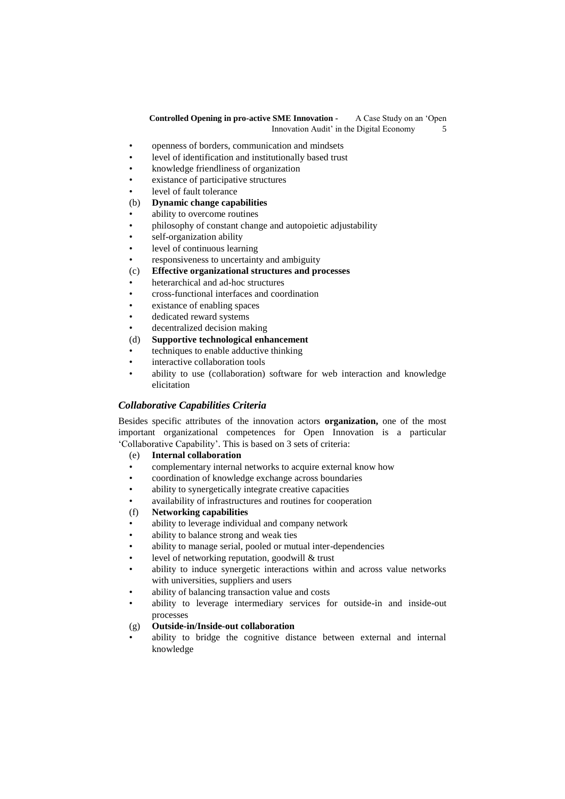- openness of borders, communication and mindsets
- level of identification and institutionally based trust
- knowledge friendliness of organization
- existance of participative structures
- level of fault tolerance

### (b) **Dynamic change capabilities**

- ability to overcome routines
- philosophy of constant change and autopoietic adjustability
- self-organization ability
- level of continuous learning
- responsiveness to uncertainty and ambiguity

### (c) **Effective organizational structures and processes**

- heterarchical and ad-hoc structures
- cross-functional interfaces and coordination
- existance of enabling spaces
- dedicated reward systems
- decentralized decision making
- (d) **Supportive technological enhancement**
- techniques to enable adductive thinking
- interactive collaboration tools
- ability to use (collaboration) software for web interaction and knowledge elicitation

### *Collaborative Capabilities Criteria*

Besides specific attributes of the innovation actors **organization,** one of the most important organizational competences for Open Innovation is a particular "Collaborative Capability". This is based on 3 sets of criteria:

(e) **Internal collaboration**

- complementary internal networks to acquire external know how
- coordination of knowledge exchange across boundaries
- ability to synergetically integrate creative capacities
- availability of infrastructures and routines for cooperation

### (f) **Networking capabilities**

- ability to leverage individual and company network
- ability to balance strong and weak ties
- ability to manage serial, pooled or mutual inter-dependencies
- level of networking reputation, goodwill & trust
- ability to induce synergetic interactions within and across value networks with universities, suppliers and users
- ability of balancing transaction value and costs
- ability to leverage intermediary services for outside-in and inside-out processes

### (g) **Outside-in/Inside-out collaboration**

• ability to bridge the cognitive distance between external and internal knowledge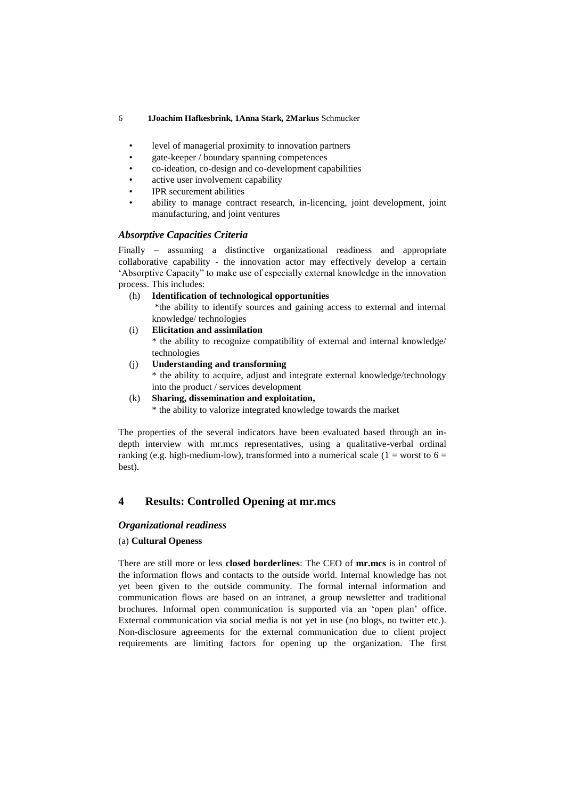- level of managerial proximity to innovation partners
- gate-keeper / boundary spanning competences
- co-ideation, co-design and co-development capabilities
- active user involvement capability
- IPR securement abilities
- ability to manage contract research, in-licencing, joint development, joint manufacturing, and joint ventures

### *Absorptive Capacities Criteria*

Finally – assuming a distinctive organizational readiness and appropriate collaborative capability - the innovation actor may effectively develop a certain "Absorptive Capacity" to make use of especially external knowledge in the innovation process. This includes:

### (h) **Identification of technological opportunities**

\*the ability to identify sources and gaining access to external and internal knowledge/ technologies

- (i) **Elicitation and assimilation** 
	- \* the ability to recognize compatibility of external and internal knowledge/ technologies
- (j) **Understanding and transforming**

\* the ability to acquire, adjust and integrate external knowledge/technology into the product / services development

### (k) **Sharing, dissemination and exploitation,**

\* the ability to valorize integrated knowledge towards the market

The properties of the several indicators have been evaluated based through an indepth interview with mr.mcs representatives, using a qualitative-verbal ordinal ranking (e.g. high-medium-low), transformed into a numerical scale (1 = worst to 6 = best).

## **4 Results: Controlled Opening at mr.mcs**

### *Organizational readiness*

### (a) **Cultural Openess**

There are still more or less **closed borderlines**: The CEO of **mr.mcs** is in control of the information flows and contacts to the outside world. Internal knowledge has not yet been given to the outside community. The formal internal information and communication flows are based on an intranet, a group newsletter and traditional brochures. Informal open communication is supported via an "open plan" office. External communication via social media is not yet in use (no blogs, no twitter etc.). Non-disclosure agreements for the external communication due to client project requirements are limiting factors for opening up the organization. The first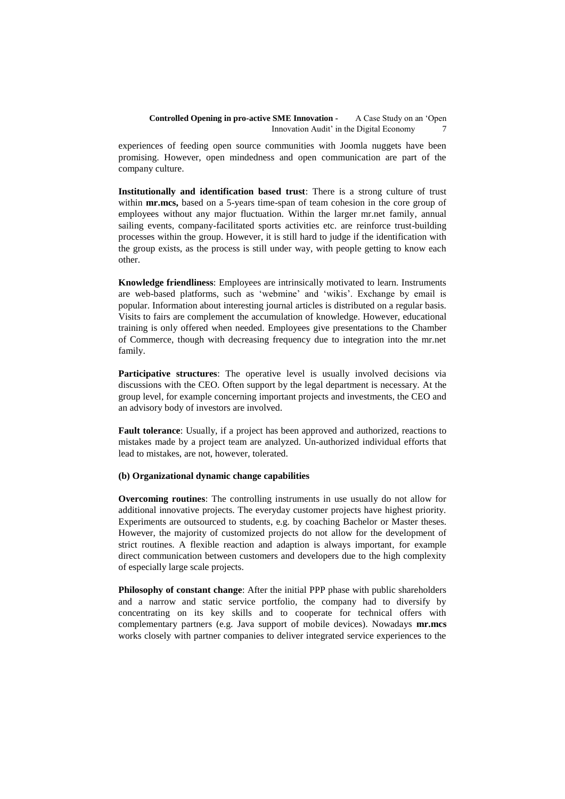experiences of feeding open source communities with Joomla nuggets have been promising. However, open mindedness and open communication are part of the company culture.

**Institutionally and identification based trust**: There is a strong culture of trust within **mr.mcs,** based on a 5-years time-span of team cohesion in the core group of employees without any major fluctuation. Within the larger mr.net family, annual sailing events, company-facilitated sports activities etc. are reinforce trust-building processes within the group. However, it is still hard to judge if the identification with the group exists, as the process is still under way, with people getting to know each other.

**Knowledge friendliness**: Employees are intrinsically motivated to learn. Instruments are web-based platforms, such as "webmine" and "wikis". Exchange by email is popular. Information about interesting journal articles is distributed on a regular basis. Visits to fairs are complement the accumulation of knowledge. However, educational training is only offered when needed. Employees give presentations to the Chamber of Commerce, though with decreasing frequency due to integration into the mr.net family.

**Participative structures**: The operative level is usually involved decisions via discussions with the CEO. Often support by the legal department is necessary. At the group level, for example concerning important projects and investments, the CEO and an advisory body of investors are involved.

**Fault tolerance**: Usually, if a project has been approved and authorized, reactions to mistakes made by a project team are analyzed. Un-authorized individual efforts that lead to mistakes, are not, however, tolerated.

### **(b) Organizational dynamic change capabilities**

**Overcoming routines**: The controlling instruments in use usually do not allow for additional innovative projects. The everyday customer projects have highest priority. Experiments are outsourced to students, e.g. by coaching Bachelor or Master theses. However, the majority of customized projects do not allow for the development of strict routines. A flexible reaction and adaption is always important, for example direct communication between customers and developers due to the high complexity of especially large scale projects.

**Philosophy of constant change**: After the initial PPP phase with public shareholders and a narrow and static service portfolio, the company had to diversify by concentrating on its key skills and to cooperate for technical offers with complementary partners (e.g. Java support of mobile devices). Nowadays **mr.mcs** works closely with partner companies to deliver integrated service experiences to the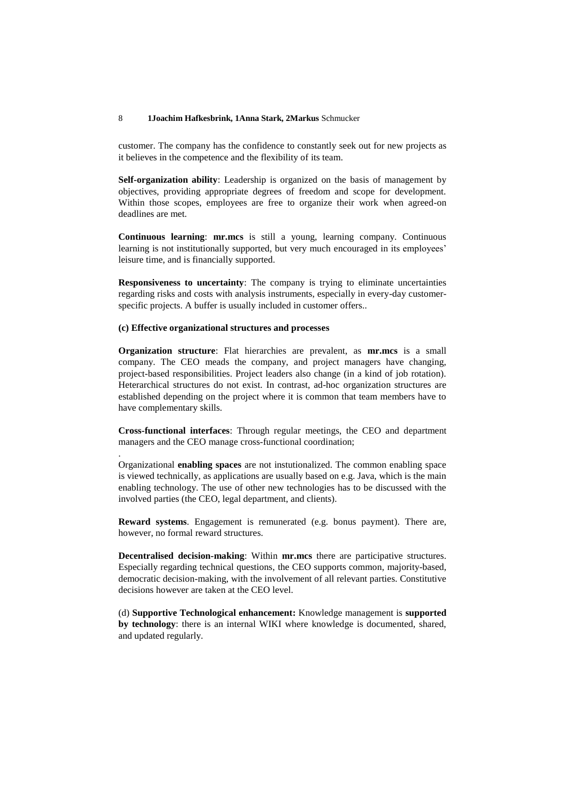customer. The company has the confidence to constantly seek out for new projects as it believes in the competence and the flexibility of its team.

**Self-organization ability**: Leadership is organized on the basis of management by objectives, providing appropriate degrees of freedom and scope for development. Within those scopes, employees are free to organize their work when agreed-on deadlines are met.

**Continuous learning**: **mr.mcs** is still a young, learning company. Continuous learning is not institutionally supported, but very much encouraged in its employees' leisure time, and is financially supported.

**Responsiveness to uncertainty**: The company is trying to eliminate uncertainties regarding risks and costs with analysis instruments, especially in every-day customerspecific projects. A buffer is usually included in customer offers..

### **(c) Effective organizational structures and processes**

.

**Organization structure**: Flat hierarchies are prevalent, as **mr.mcs** is a small company. The CEO meads the company, and project managers have changing, project-based responsibilities. Project leaders also change (in a kind of job rotation). Heterarchical structures do not exist. In contrast, ad-hoc organization structures are established depending on the project where it is common that team members have to have complementary skills.

**Cross-functional interfaces**: Through regular meetings, the CEO and department managers and the CEO manage cross-functional coordination;

Organizational **enabling spaces** are not instutionalized. The common enabling space is viewed technically, as applications are usually based on e.g. Java, which is the main enabling technology. The use of other new technologies has to be discussed with the involved parties (the CEO, legal department, and clients).

**Reward systems**. Engagement is remunerated (e.g. bonus payment). There are, however, no formal reward structures.

**Decentralised decision-making**: Within **mr.mcs** there are participative structures. Especially regarding technical questions, the CEO supports common, majority-based, democratic decision-making, with the involvement of all relevant parties. Constitutive decisions however are taken at the CEO level.

(d) **Supportive Technological enhancement:** Knowledge management is **supported by technology**: there is an internal WIKI where knowledge is documented, shared, and updated regularly.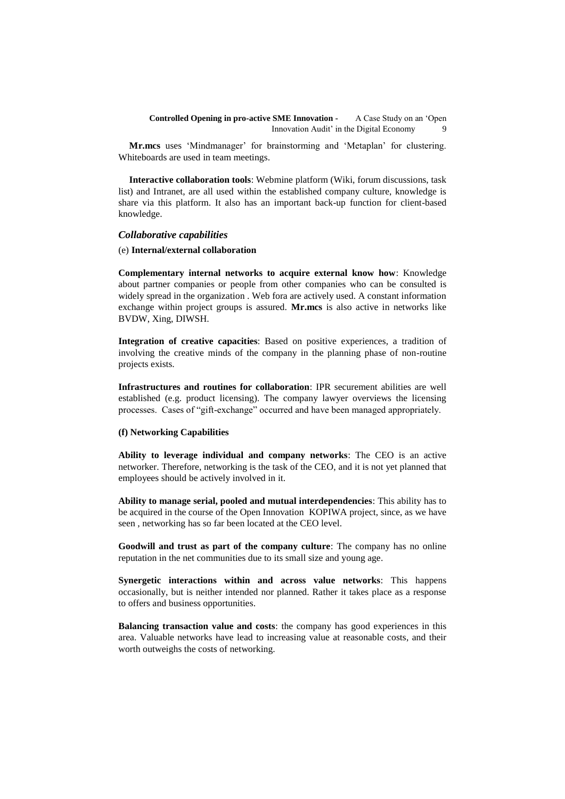**Mr.mcs** uses "Mindmanager" for brainstorming and "Metaplan" for clustering. Whiteboards are used in team meetings.

**Interactive collaboration tools**: Webmine platform (Wiki, forum discussions, task list) and Intranet, are all used within the established company culture, knowledge is share via this platform. It also has an important back-up function for client-based knowledge.

### *Collaborative capabilities*

#### (e) **Internal/external collaboration**

**Complementary internal networks to acquire external know how**: Knowledge about partner companies or people from other companies who can be consulted is widely spread in the organization . Web fora are actively used. A constant information exchange within project groups is assured. **Mr.mcs** is also active in networks like BVDW, Xing, DIWSH.

**Integration of creative capacities**: Based on positive experiences, a tradition of involving the creative minds of the company in the planning phase of non-routine projects exists.

**Infrastructures and routines for collaboration**: IPR securement abilities are well established (e.g. product licensing). The company lawyer overviews the licensing processes. Cases of "gift-exchange" occurred and have been managed appropriately.

### **(f) Networking Capabilities**

**Ability to leverage individual and company networks**: The CEO is an active networker. Therefore, networking is the task of the CEO, and it is not yet planned that employees should be actively involved in it.

**Ability to manage serial, pooled and mutual interdependencies**: This ability has to be acquired in the course of the Open Innovation KOPIWA project, since, as we have seen , networking has so far been located at the CEO level.

**Goodwill and trust as part of the company culture**: The company has no online reputation in the net communities due to its small size and young age.

**Synergetic interactions within and across value networks**: This happens occasionally, but is neither intended nor planned. Rather it takes place as a response to offers and business opportunities.

**Balancing transaction value and costs**: the company has good experiences in this area. Valuable networks have lead to increasing value at reasonable costs, and their worth outweighs the costs of networking.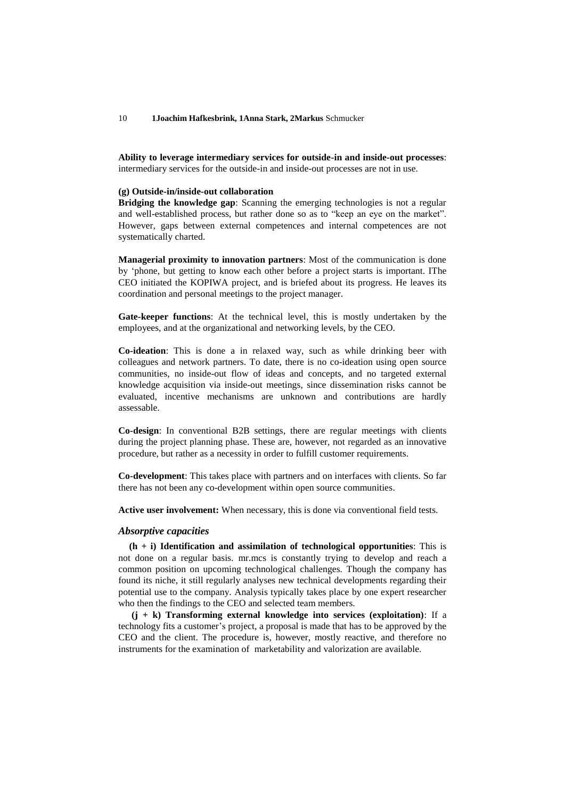**Ability to leverage intermediary services for outside-in and inside-out processes**: intermediary services for the outside-in and inside-out processes are not in use.

#### **(g) Outside-in/inside-out collaboration**

**Bridging the knowledge gap**: Scanning the emerging technologies is not a regular and well-established process, but rather done so as to "keep an eye on the market". However, gaps between external competences and internal competences are not systematically charted.

**Managerial proximity to innovation partners**: Most of the communication is done by "phone, but getting to know each other before a project starts is important. IThe CEO initiated the KOPIWA project, and is briefed about its progress. He leaves its coordination and personal meetings to the project manager.

**Gate-keeper functions**: At the technical level, this is mostly undertaken by the employees, and at the organizational and networking levels, by the CEO.

**Co-ideation**: This is done a in relaxed way, such as while drinking beer with colleagues and network partners. To date, there is no co-ideation using open source communities, no inside-out flow of ideas and concepts, and no targeted external knowledge acquisition via inside-out meetings, since dissemination risks cannot be evaluated, incentive mechanisms are unknown and contributions are hardly assessable.

**Co-design**: In conventional B2B settings, there are regular meetings with clients during the project planning phase. These are, however, not regarded as an innovative procedure, but rather as a necessity in order to fulfill customer requirements.

**Co-development**: This takes place with partners and on interfaces with clients. So far there has not been any co-development within open source communities.

**Active user involvement:** When necessary, this is done via conventional field tests.

#### *Absorptive capacities*

**(h + i) Identification and assimilation of technological opportunities**: This is not done on a regular basis. mr.mcs is constantly trying to develop and reach a common position on upcoming technological challenges. Though the company has found its niche, it still regularly analyses new technical developments regarding their potential use to the company. Analysis typically takes place by one expert researcher who then the findings to the CEO and selected team members.

**(j + k) Transforming external knowledge into services (exploitation)**: If a technology fits a customer"s project, a proposal is made that has to be approved by the CEO and the client. The procedure is, however, mostly reactive, and therefore no instruments for the examination of marketability and valorization are available.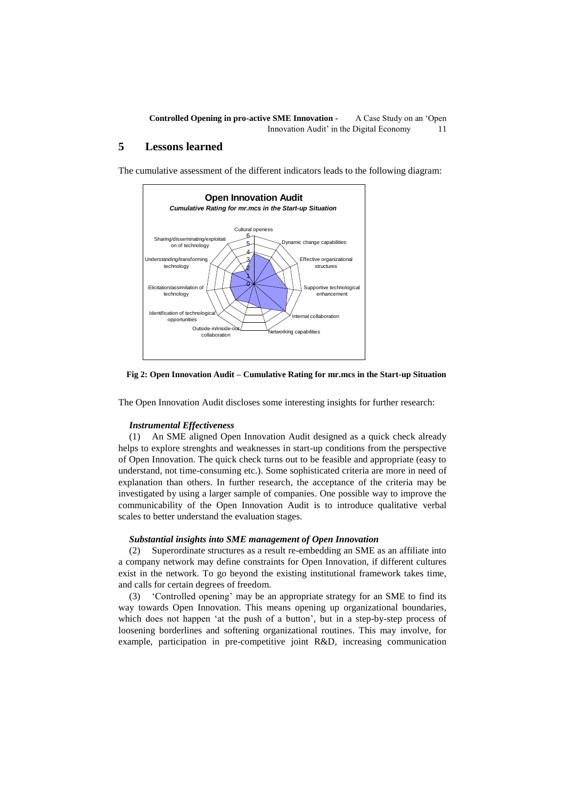## **5 Lessons learned**

The cumulative assessment of the different indicators leads to the following diagram:



#### **Fig 2: Open Innovation Audit – Cumulative Rating for mr.mcs in the Start-up Situation**

The Open Innovation Audit discloses some interesting insights for further research:

#### *Instrumental Effectiveness*

(1) An SME aligned Open Innovation Audit designed as a quick check already helps to explore strenghts and weaknesses in start-up conditions from the perspective of Open Innovation. The quick check turns out to be feasible and appropriate (easy to understand, not time-consuming etc.). Some sophisticated criteria are more in need of explanation than others. In further research, the acceptance of the criteria may be investigated by using a larger sample of companies. One possible way to improve the communicability of the Open Innovation Audit is to introduce qualitative verbal scales to better understand the evaluation stages.

#### *Substantial insights into SME management of Open Innovation*

(2) Superordinate structures as a result re-embedding an SME as an affiliate into a company network may define constraints for Open Innovation, if different cultures exist in the network. To go beyond the existing institutional framework takes time, and calls for certain degrees of freedom.

(3) "Controlled opening" may be an appropriate strategy for an SME to find its way towards Open Innovation. This means opening up organizational boundaries, which does not happen 'at the push of a button', but in a step-by-step process of loosening borderlines and softening organizational routines. This may involve, for example, participation in pre-competitive joint R&D, increasing communication